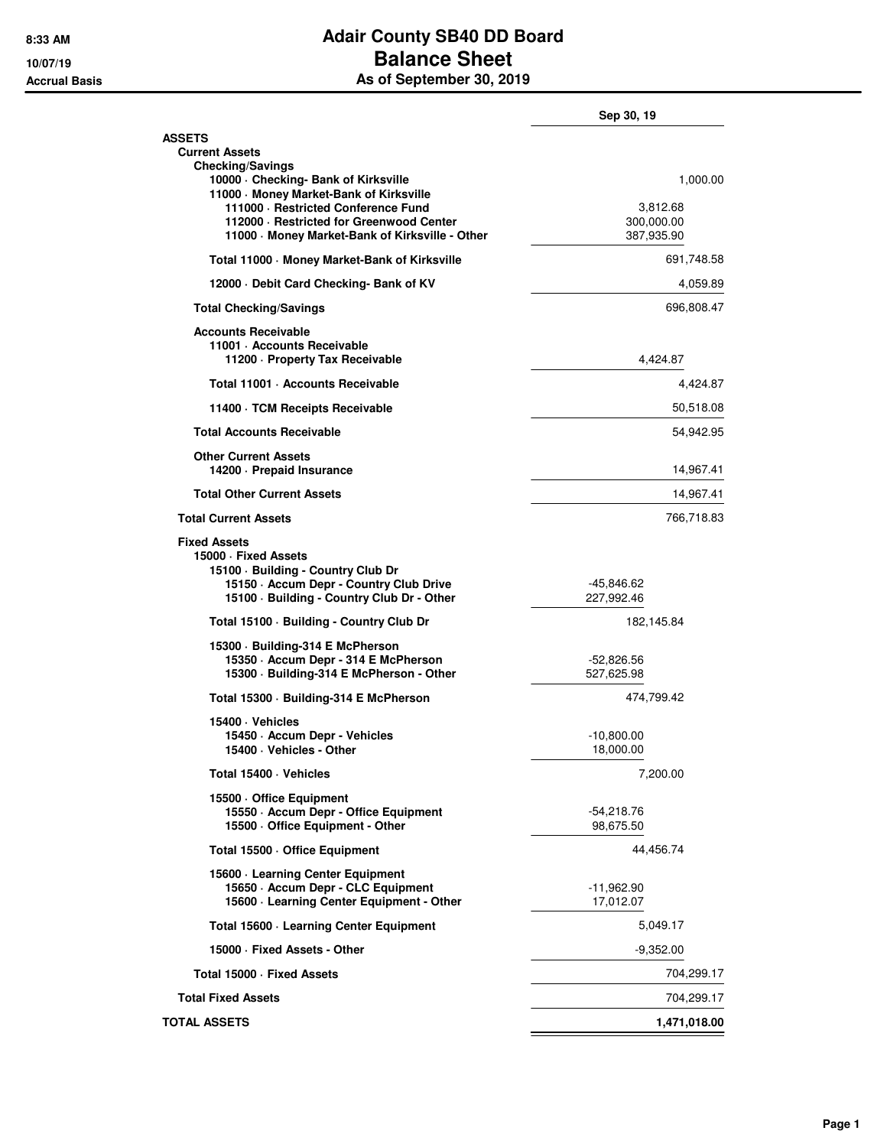## **8:33 AM Adair County SB40 DD Board 10/07/19 Balance Sheet Accrual Basis As of September 30, 2019**

|                                                                                                                                                                                                                                                                         | Sep 30, 19                                       |
|-------------------------------------------------------------------------------------------------------------------------------------------------------------------------------------------------------------------------------------------------------------------------|--------------------------------------------------|
| <b>ASSETS</b>                                                                                                                                                                                                                                                           |                                                  |
| <b>Current Assets</b><br><b>Checking/Savings</b><br>10000 · Checking- Bank of Kirksville<br>11000 - Money Market-Bank of Kirksville<br>111000 · Restricted Conference Fund<br>112000 · Restricted for Greenwood Center<br>11000 Money Market-Bank of Kirksville - Other | 1,000.00<br>3,812.68<br>300,000.00<br>387,935.90 |
| Total 11000 Money Market-Bank of Kirksville                                                                                                                                                                                                                             | 691,748.58                                       |
| 12000 Debit Card Checking- Bank of KV                                                                                                                                                                                                                                   | 4,059.89                                         |
| <b>Total Checking/Savings</b>                                                                                                                                                                                                                                           | 696,808.47                                       |
| <b>Accounts Receivable</b><br>11001 - Accounts Receivable<br>11200 - Property Tax Receivable                                                                                                                                                                            | 4,424.87                                         |
| Total 11001 · Accounts Receivable                                                                                                                                                                                                                                       | 4,424.87                                         |
| 11400 TCM Receipts Receivable                                                                                                                                                                                                                                           | 50,518.08                                        |
| <b>Total Accounts Receivable</b>                                                                                                                                                                                                                                        | 54,942.95                                        |
| <b>Other Current Assets</b><br>14200 - Prepaid Insurance                                                                                                                                                                                                                | 14,967.41                                        |
| <b>Total Other Current Assets</b>                                                                                                                                                                                                                                       | 14,967.41                                        |
| <b>Total Current Assets</b>                                                                                                                                                                                                                                             | 766,718.83                                       |
| <b>Fixed Assets</b><br>15000 · Fixed Assets<br>15100 · Building - Country Club Dr<br>15150 - Accum Depr - Country Club Drive<br>15100 · Building - Country Club Dr - Other                                                                                              | -45,846.62<br>227,992.46                         |
| Total 15100 · Building - Country Club Dr                                                                                                                                                                                                                                | 182,145.84                                       |
| 15300 Building-314 E McPherson<br>15350 - Accum Depr - 314 E McPherson<br>15300 · Building-314 E McPherson - Other                                                                                                                                                      | -52,826.56<br>527,625.98                         |
| Total 15300 · Building-314 E McPherson                                                                                                                                                                                                                                  | 474,799.42                                       |
| 15400 · Vehicles<br>15450 · Accum Depr - Vehicles<br>15400 · Vehicles - Other                                                                                                                                                                                           | -10,800.00<br>18,000.00                          |
| Total 15400 · Vehicles                                                                                                                                                                                                                                                  | 7,200.00                                         |
| 15500 Office Equipment<br>15550 - Accum Depr - Office Equipment<br>15500 Office Equipment - Other                                                                                                                                                                       | -54,218.76<br>98.675.50                          |
| Total 15500 Office Equipment                                                                                                                                                                                                                                            | 44,456.74                                        |
| 15600 - Learning Center Equipment<br>15650 - Accum Depr - CLC Equipment<br>15600 · Learning Center Equipment - Other                                                                                                                                                    | $-11,962.90$<br>17,012.07                        |
| Total 15600 · Learning Center Equipment                                                                                                                                                                                                                                 | 5,049.17                                         |
| 15000 Fixed Assets - Other                                                                                                                                                                                                                                              | $-9,352.00$                                      |
| Total 15000 - Fixed Assets                                                                                                                                                                                                                                              | 704,299.17                                       |
| <b>Total Fixed Assets</b>                                                                                                                                                                                                                                               | 704,299.17                                       |
| <b>TOTAL ASSETS</b>                                                                                                                                                                                                                                                     | 1,471,018.00                                     |